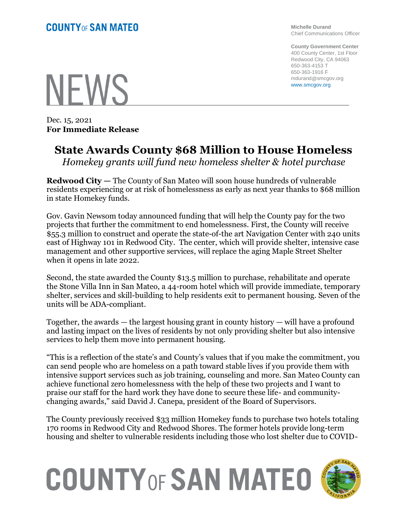**NEWS** 

Dec. 15, 2021 **For Immediate Release** **Michelle Durand** Chief Communications Officer

**County Government Center** 400 County Center, 1st Floor Redwood City, CA 94063 650-363-4153 T 650-363-1916 F mdurand@smcgov.org www.smcgov.org

## **State Awards County \$68 Million to House Homeless**

*Homekey grants will fund new homeless shelter & hotel purchase* 

**Redwood City —** The County of San Mateo will soon house hundreds 0f vulnerable residents experiencing or at risk of homelessness as early as next year thanks to \$68 million in state Homekey funds.

Gov. Gavin Newsom today announced funding that will help the County pay for the two projects that further the commitment to end homelessness. First, the County will receive \$55.3 million to construct and operate the state-of-the art Navigation Center with 240 units east of Highway 101 in Redwood City. The center, which will provide shelter, intensive case management and other supportive services, will replace the aging Maple Street Shelter when it opens in late 2022.

Second, the state awarded the County \$13.5 million to purchase, rehabilitate and operate the Stone Villa Inn in San Mateo, a 44-room hotel which will provide immediate, temporary shelter, services and skill-building to help residents exit to permanent housing. Seven of the units will be ADA-compliant.

Together, the awards  $-$  the largest housing grant in county history  $-$  will have a profound and lasting impact on the lives of residents by not only providing shelter but also intensive services to help them move into permanent housing.

"This is a reflection of the state's and County's values that if you make the commitment, you can send people who are homeless on a path toward stable lives if you provide them with intensive support services such as job training, counseling and more. San Mateo County can achieve functional zero homelessness with the help of these two projects and I want to praise our staff for the hard work they have done to secure these life- and communitychanging awards," said David J. Canepa, president of the Board of Supervisors.

The County previously received \$33 million Homekey funds to purchase two hotels totaling 170 rooms in Redwood City and Redwood Shores. The former hotels provide long-term housing and shelter to vulnerable residents including those who lost shelter due to COVID-

## **COUNTY OF SAN MATEO**